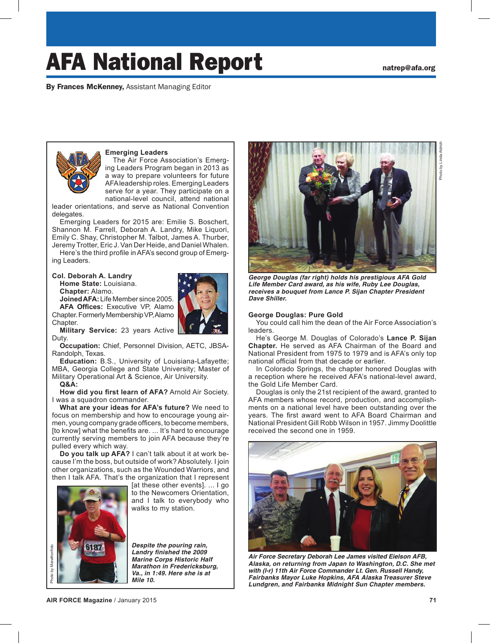Photo by Linda Aldrich

Photo by Linda Aldric

# AFA National Report **national** and  $\mathbf{R}$

By Frances McKenney, Assistant Managing Editor



## **Emerging Leaders**

The Air Force Association's Emerging Leaders Program began in 2013 as a way to prepare volunteers for future AFA leadership roles. Emerging Leaders serve for a year. They participate on a national-level council, attend national

leader orientations, and serve as National Convention delegates.

Emerging Leaders for 2015 are: Emilie S. Boschert, Shannon M. Farrell, Deborah A. Landry, Mike Liquori, Emily C. Shay, Christopher M. Talbot, James A. Thurber, Jeremy Trotter, Eric J. Van Der Heide, and Daniel Whalen.

Here's the third profile in AFA's second group of Emerging Leaders.

#### **Col. Deborah A. Landry**

**Home State:** Louisiana. **Chapter:** Alamo.

**Joined AFA:** Life Member since 2005.

**AFA Offices:** Executive VP, Alamo Chapter. Formerly Membership VP, Alamo



Chapter. **Military Service:** 23 years Active Duty.

**Occupation:** Chief, Personnel Division, AETC, JBSA-Randolph, Texas.

**Education:** B.S., University of Louisiana-Lafayette; MBA, Georgia College and State University; Master of Military Operational Art & Science, Air University.

#### **Q&A:**

**How did you first learn of AFA?** Arnold Air Society. I was a squadron commander.

**What are your ideas for AFA's future?** We need to focus on membership and how to encourage young airmen, young company grade officers, to become members, [to know] what the benefits are. ... It's hard to encourage currently serving members to join AFA because they're pulled every which way.

**Do you talk up AFA?** I can't talk about it at work because I'm the boss, but outside of work? Absolutely. I join other organizations, such as the Wounded Warriors, and then I talk AFA. That's the organization that I represent



[at these other events]. ... I go to the Newcomers Orientation, and I talk to everybody who walks to my station.

*Despite the pouring rain, Landry finished the 2009 Marine Corps Historic Half Marathon in Fredericksburg, Va., in 1:49. Here she is at Mile 10.*



*George Douglas (far right) holds his prestigious AFA Gold Life Member Card award, as his wife, Ruby Lee Douglas, receives a bouquet from Lance P. Sijan Chapter President Dave Shiller.* 

#### **George Douglas: Pure Gold**

You could call him the dean of the Air Force Association's leaders.

He's George M. Douglas of Colorado's **Lance P. Sijan Chapter.** He served as AFA Chairman of the Board and National President from 1975 to 1979 and is AFA's only top national official from that decade or earlier.

In Colorado Springs, the chapter honored Douglas with a reception where he received AFA's national-level award, the Gold Life Member Card.

Douglas is only the 21st recipient of the award, granted to AFA members whose record, production, and accomplishments on a national level have been outstanding over the years. The first award went to AFA Board Chairman and National President Gill Robb Wilson in 1957. Jimmy Doolittle received the second one in 1959.



*Air Force Secretary Deborah Lee James visited Eielson AFB, Alaska, on returning from Japan to Washington, D.C. She met with (l-r) 11th Air Force Commander Lt. Gen. Russell Handy, Fairbanks Mayor Luke Hopkins, AFA Alaska Treasurer Steve Lundgren, and Fairbanks Midnight Sun Chapter members.*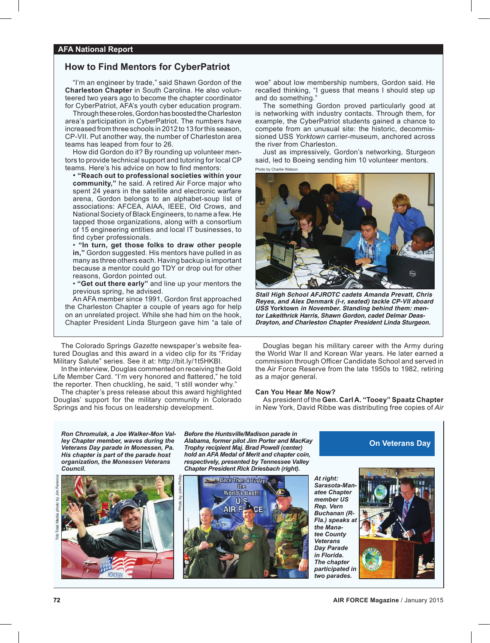# **How to Find Mentors for CyberPatriot**

"I'm an engineer by trade," said Shawn Gordon of the **Charleston Chapter** in South Carolina. He also volunteered two years ago to become the chapter coordinator for CyberPatriot, AFA's youth cyber education program.

Through these roles, Gordon has boosted the Charleston area's participation in CyberPatriot. The numbers have increased from three schools in 2012 to 13 for this season, CP-VII. Put another way, the number of Charleston area teams has leaped from four to 26.

How did Gordon do it? By rounding up volunteer mentors to provide technical support and tutoring for local CP teams. Here's his advice on how to find mentors:

 $\cdot$  "Reach out to professional societies within your community," he said. A retired Air Force major who spent 24 years in the satellite and electronic warfare arena, Gordon belongs to an alphabet-soup list of associations: AFCEA, AIAA, IEEE, Old Crows, and National Society of Black Engineers, to name a few. He tapped those organizations, along with a consortium of 15 engineering entities and local IT businesses, to find cyber professionals.

 $\cdot$  "In turn, get those folks to draw other people in," Gordon suggested. His mentors have pulled in as many as three others each. Having backup is important because a mentor could go TDY or drop out for other reasons, Gordon pointed out.

• "Get out there early" and line up your mentors the previous spring, he advised.

An AFA member since 1991, Gordon first approached the Charleston Chapter a couple of years ago for help on an unrelated project. While she had him on the hook, Chapter President Linda Sturgeon gave him "a tale of

The Colorado Springs *Gazette* newspaper's website featured Douglas and this award in a video clip for its "Friday Military Salute" series. See it at: http://bit.ly/1t5HKBI.

In the interview, Douglas commented on receiving the Gold Life Member Card. "I'm very honored and flattered," he told the reporter. Then chuckling, he said, "I still wonder why."

The chapter's press release about this award highlighted Douglas' support for the military community in Colorado Springs and his focus on leadership development.

woe" about low membership numbers, Gordon said. He recalled thinking, "I guess that means I should step up and do something.

The something Gordon proved particularly good at is networking with industry contacts. Through them, for example, the CyberPatriot students gained a chance to compete from an unusual site: the historic, decommissioned USS *Yorktown* carrier-museum, anchored across the river from Charleston.

Just as impressively, Gordon's networking, Sturgeon said, led to Boeing sending him 10 volunteer mentors.

Photo by Charlie Watson



*Stall High School AFJROTC cadets Amanda Prevatt, Chris Reyes, and Alex Denmark (l-r, seated) tackle CP-VII aboard USS* **Yorktown** *in November. Standing behind them: mentor Lakeithrick Harris, Shawn Gordon, cadet Delmar Deas-Drayton, and Charleston Chapter President Linda Sturgeon.*

Douglas began his military career with the Army during the World War II and Korean War years. He later earned a commission through Officer Candidate School and served in the Air Force Reserve from the late 1950s to 1982, retiring as a major general.

#### **Can You Hear Me Now?**

As president of the **Gen. Carl A. "Tooey" Spaatz Chapter** in New York, David Ribbe was distributing free copies of *Air* 

*Ron Chromulak, a Joe Walker-Mon Valley Chapter member, waves during the Veterans Day parade in Monessen, Pa. His chapter is part of the parade host organization, the Monessen Veterans Council.*



*Before the Huntsville/Madison parade in Alabama, former pilot Jim Porter and MacKay Trophy recipient Maj. Brad Powell (center) hold an AFA Medal of Merit and chapter coin, respectively, presented by Tennessee Valley Chapter President Rick Driesbach (right).* 



*At right: Sarasota-Manatee Chapter member US Rep. Vern Buchanan (R-***Fla.)** speaks a *the Manatee County Veterans Day Parade in Florida. The chapter participated in two parades.*



**On Veterans Day**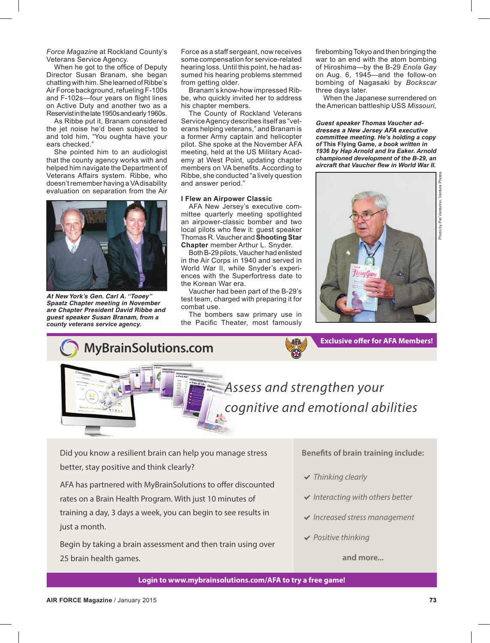*Force Magazin*e at Rockland County's Veterans Service Agency.

When he got to the office of Deputy Director Susan Branam, she began chatting with him. She learned of Ribbe's Air Force background, refueling F-100s and F-102s—four years on flight lines on Active Duty and another two as a Reservist in the late 1950s and early 1960s.

As Ribbe put it, Branam considered the jet noise he'd been subjected to and told him, "You oughta have your ears checked."

She pointed him to an audiologist that the county agency works with and helped him navigate the Department of Veterans Affairs system. Ribbe, who doesn't remember having a VA disability evaluation on separation from the Air



*At New York's Gen. Carl A. "Tooey" Spaatz Chapter meeting in November are Chapter President David Ribbe and guest speaker Susan Branam, from a county veterans service agency.*

Force as a staff sergeant, now receives some compensation for service-related hearing loss. Until this point, he had assumed his hearing problems stemmed from getting older.

Branam's know-how impressed Ribbe, who quickly invited her to address his chapter members.

The County of Rockland Veterans Service Agency describes itself as "veterans helping veterans," and Branam is a former Army captain and helicopter pilot. She spoke at the November AFA meeting, held at the US Military Academy at West Point, updating chapter members on VA benefits. According to Ribbe, she conducted "a lively question and answer period."

#### **I Flew an Airpower Classic**

AFA New Jersey's executive committee quarterly meeting spotlighted an airpower-classic bomber and two local pilots who flew it: guest speaker Thomas R. Vaucher and **Shooting Star Chapter** member Arthur L. Snyder.

Both B-29 pilots, Vaucher had enlisted in the Air Corps in 1940 and served in World War II, while Snyder's experiences with the Superfortress date to the Korean War era.

Vaucher had been part of the B-29's test team, charged with preparing it for combat use.

The bombers saw primary use in the Pacific Theater, most famously

firebombing Tokyo and then bringing the war to an end with the atom bombing of Hiroshima—by the B-29 *Enola Gay* on Aug. 6, 1945—and the follow-on bombing of Nagasaki by *Bockscar* three days later.

When the Japanese surrendered on the American battleship USS *Missouri,*

*Guest speaker Thomas Vaucher addresses a New Jersey AFA executive committee meeting. He's holding a copy of* **This Flying Game***, a book written in 1936 by Hap Arnold and Ira Eaker. Arnold championed development of the B-29, an aircraft that Vaucher flew in World War II.*



**Exclusive offer for AFA Members!** 



*Assess and strengthen your cognitive and emotional abilities*

Did you know a resilient brain can help you manage stress better, stay positive and think clearly?

AFA has partnered with MyBrainSolutions to offer discounted rates on a Brain Health Program. With just 10 minutes of training a day, 3 days a week, you can begin to see results in just a month.

Begin by taking a brain assessment and then train using over 25 brain health games.

#### **Benefits of brain training include:**

- *Thinking clearly*
- *Interacting with others better*
- *Increased stress management*
- *Positive thinking*

#### **and more...**

**Login to www.mybrainsolutions.com/AFA to try a free game!**